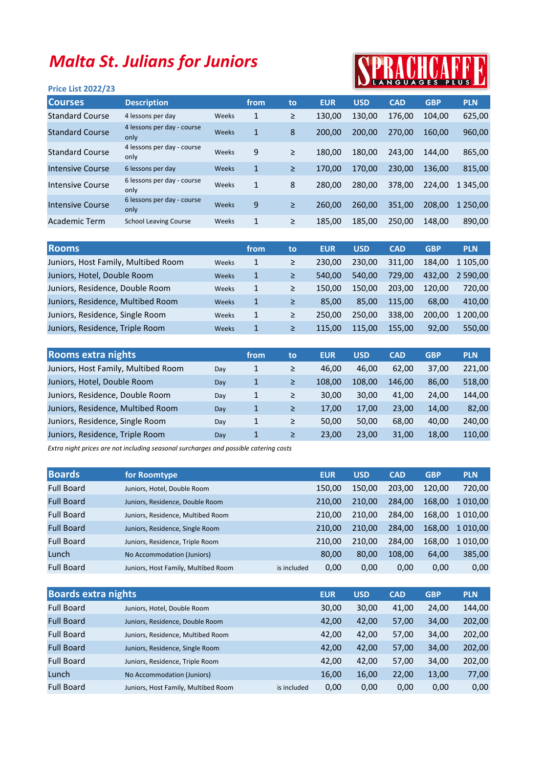## Malta St. Julians for Juniors

## **ALLE**

| <b>Price List 2022/23</b> |                                    |       |              |        |            |            | IN LANGUAGES FLUS LA |            |             |
|---------------------------|------------------------------------|-------|--------------|--------|------------|------------|----------------------|------------|-------------|
| <b>Courses</b>            | <b>Description</b>                 |       | from         | to     | <b>EUR</b> | <b>USD</b> | <b>CAD</b>           | <b>GBP</b> | <b>PLN</b>  |
| <b>Standard Course</b>    | 4 lessons per day                  | Weeks | 1            | $\geq$ | 130,00     | 130,00     | 176.00               | 104.00     | 625,00      |
| <b>Standard Course</b>    | 4 lessons per day - course<br>only | Weeks | $\mathbf{1}$ | 8      | 200.00     | 200.00     | 270.00               | 160.00     | 960,00      |
| <b>Standard Course</b>    | 4 lessons per day - course<br>only | Weeks | 9            | ≥      | 180.00     | 180,00     | 243.00               | 144.00     | 865,00      |
| Intensive Course          | 6 lessons per day                  | Weeks | $\mathbf{1}$ | $\geq$ | 170.00     | 170.00     | 230.00               | 136.00     | 815,00      |
| Intensive Course          | 6 lessons per day - course<br>only | Weeks | $\mathbf{1}$ | 8      | 280,00     | 280.00     | 378.00               | 224,00     | 1 3 4 5 .00 |
| <b>Intensive Course</b>   | 6 lessons per day - course<br>only | Weeks | 9            | $\geq$ | 260.00     | 260,00     | 351.00               | 208.00     | 1 250.00    |
| Academic Term             | <b>School Leaving Course</b>       | Weeks | $\mathbf{1}$ | $\geq$ | 185.00     | 185.00     | 250.00               | 148.00     | 890,00      |

| <b>Rooms</b>                        |              | from | to | <b>EUR</b> | <b>USD</b> | <b>CAD</b> | <b>GBP</b> | <b>PLN</b> |
|-------------------------------------|--------------|------|----|------------|------------|------------|------------|------------|
| Juniors, Host Family, Multibed Room | Weeks        | 1    | ≥  | 230.00     | 230,00     | 311,00     | 184.00     | 1 105.00   |
| Juniors, Hotel, Double Room         | Weeks        | 1    | ≥  | 540.00     | 540,00     | 729.00     | 432.00     | 2 590.00   |
| Juniors, Residence, Double Room     | Weeks        | 1    | ≥  | 150.00     | 150.00     | 203.00     | 120.00     | 720.00     |
| Juniors, Residence, Multibed Room   | <b>Weeks</b> | 1    | ≥  | 85.00      | 85.00      | 115.00     | 68.00      | 410.00     |
| Juniors, Residence, Single Room     | Weeks        | 1    | ≥  | 250.00     | 250.00     | 338,00     | 200.00     | 1 200.00   |
| Juniors, Residence, Triple Room     | <b>Weeks</b> | 1    | ≥  | 115.00     | 115.00     | 155.00     | 92.00      | 550,00     |

|     | from | to | <b>EUR</b> | <b>USD</b> | <b>CAD</b> | <b>GBP</b> | <b>PLN</b> |
|-----|------|----|------------|------------|------------|------------|------------|
| Day | 1    | ≥  | 46.00      | 46.00      | 62,00      | 37,00      | 221,00     |
| Day | 1    | ≥  | 108.00     | 108.00     | 146.00     | 86,00      | 518,00     |
| Day | 1    | ≥  | 30.00      | 30,00      | 41,00      | 24,00      | 144,00     |
| Day | 1    | ≥  | 17.00      | 17,00      | 23,00      | 14.00      | 82,00      |
| Day | 1    | ≥  | 50.00      | 50,00      | 68,00      | 40,00      | 240,00     |
| Day | 1    | ≥  | 23,00      | 23,00      | 31,00      | 18,00      | 110,00     |
|     |      |    |            |            |            |            |            |

Extra night prices are not including seasonal surcharges and possible catering costs

| for Roomtype                        |             | <b>EUR</b> | <b>USD</b> | <b>CAD</b> | <b>GBP</b> | <b>PLN</b>   |
|-------------------------------------|-------------|------------|------------|------------|------------|--------------|
| Juniors, Hotel, Double Room         |             | 150,00     | 150,00     | 203,00     | 120,00     | 720,00       |
| Juniors, Residence, Double Room     |             | 210.00     | 210.00     | 284.00     | 168.00     | 1 0 1 0 .0 0 |
| Juniors, Residence, Multibed Room   |             | 210.00     | 210,00     | 284,00     | 168.00     | 1 010.00     |
| Juniors, Residence, Single Room     |             | 210.00     | 210,00     | 284,00     | 168.00     | 1 010.00     |
| Juniors, Residence, Triple Room     |             | 210.00     | 210.00     | 284,00     | 168.00     | 1 010,00     |
| No Accommodation (Juniors)          |             | 80,00      | 80,00      | 108,00     | 64,00      | 385,00       |
| Juniors, Host Family, Multibed Room | is included | 0,00       | 0,00       | 0,00       | 0,00       | 0,00         |
|                                     |             |            |            |            |            |              |

| <b>Boards extra nights</b> |                                     |             | <b>EUR</b> | <b>USD</b> | <b>CAD</b> | <b>GBP</b> | <b>PLN</b> |
|----------------------------|-------------------------------------|-------------|------------|------------|------------|------------|------------|
| <b>Full Board</b>          | Juniors, Hotel, Double Room         |             | 30,00      | 30,00      | 41,00      | 24,00      | 144,00     |
| <b>Full Board</b>          | Juniors, Residence, Double Room     |             | 42,00      | 42,00      | 57,00      | 34,00      | 202,00     |
| <b>Full Board</b>          | Juniors, Residence, Multibed Room   |             | 42,00      | 42,00      | 57,00      | 34,00      | 202,00     |
| <b>Full Board</b>          | Juniors, Residence, Single Room     |             | 42,00      | 42,00      | 57,00      | 34,00      | 202,00     |
| <b>Full Board</b>          | Juniors, Residence, Triple Room     |             | 42,00      | 42,00      | 57,00      | 34,00      | 202,00     |
| Lunch                      | No Accommodation (Juniors)          |             | 16,00      | 16,00      | 22,00      | 13,00      | 77,00      |
| <b>Full Board</b>          | Juniors, Host Family, Multibed Room | is included | 0,00       | 0,00       | 0,00       | 0,00       | 0,00       |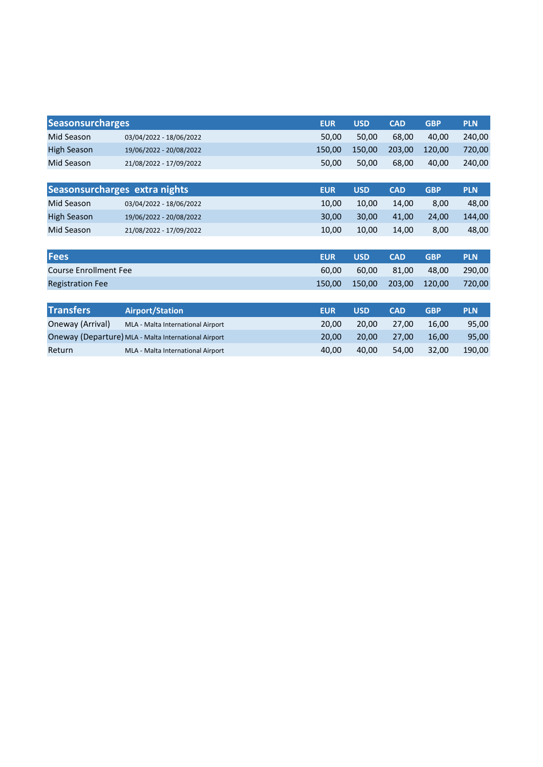| <b>Seasonsurcharges</b>       |                                                      | <b>EUR</b> | <b>USD</b> | <b>CAD</b> | <b>GBP</b> | <b>PLN</b> |
|-------------------------------|------------------------------------------------------|------------|------------|------------|------------|------------|
| Mid Season                    | 03/04/2022 - 18/06/2022                              | 50,00      | 50,00      | 68,00      | 40,00      | 240,00     |
| <b>High Season</b>            | 19/06/2022 - 20/08/2022                              | 150,00     | 150,00     | 203,00     | 120,00     | 720,00     |
| Mid Season                    | 21/08/2022 - 17/09/2022                              | 50,00      | 50,00      | 68,00      | 40,00      | 240,00     |
|                               |                                                      |            |            |            |            |            |
| Seasonsurcharges extra nights |                                                      | <b>EUR</b> | <b>USD</b> | <b>CAD</b> | <b>GBP</b> | <b>PLN</b> |
| Mid Season                    | 03/04/2022 - 18/06/2022                              | 10,00      | 10,00      | 14,00      | 8,00       | 48,00      |
| <b>High Season</b>            | 19/06/2022 - 20/08/2022                              | 30,00      | 30,00      | 41,00      | 24,00      | 144,00     |
| Mid Season                    | 21/08/2022 - 17/09/2022                              | 10,00      | 10,00      | 14,00      | 8,00       | 48,00      |
|                               |                                                      |            |            |            |            |            |
| <b>Fees</b>                   |                                                      | <b>EUR</b> | <b>USD</b> | <b>CAD</b> | <b>GBP</b> | <b>PLN</b> |
| <b>Course Enrollment Fee</b>  |                                                      | 60,00      | 60,00      | 81,00      | 48,00      | 290,00     |
| <b>Registration Fee</b>       |                                                      | 150,00     | 150,00     | 203,00     | 120,00     | 720,00     |
|                               |                                                      |            |            |            |            |            |
| <b>Transfers</b>              | <b>Airport/Station</b>                               | <b>EUR</b> | <b>USD</b> | <b>CAD</b> | <b>GBP</b> | <b>PLN</b> |
| Oneway (Arrival)              | MLA - Malta International Airport                    | 20,00      | 20,00      | 27,00      | 16,00      | 95,00      |
|                               | Oneway (Departure) MLA - Malta International Airport | 20,00      | 20,00      | 27,00      | 16,00      | 95,00      |

Return MLA - Malta International Airport 40,00 40,00 54,00 32,00 190,00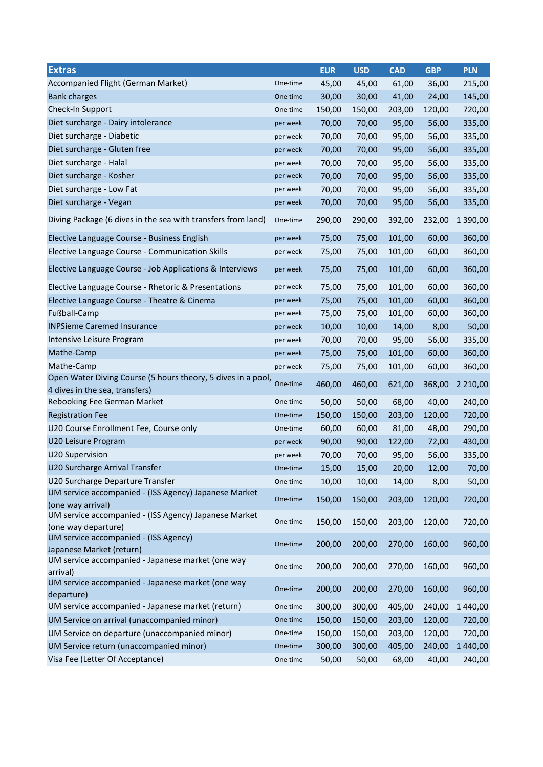| <b>Extras</b>                                                                                  |          | <b>EUR</b> | <b>USD</b> | <b>CAD</b> | <b>GBP</b> | <b>PLN</b>    |
|------------------------------------------------------------------------------------------------|----------|------------|------------|------------|------------|---------------|
| Accompanied Flight (German Market)                                                             | One-time | 45,00      | 45,00      | 61,00      | 36,00      | 215,00        |
| <b>Bank charges</b>                                                                            | One-time | 30,00      | 30,00      | 41,00      | 24,00      | 145,00        |
| Check-In Support                                                                               | One-time | 150,00     | 150,00     | 203,00     | 120,00     | 720,00        |
| Diet surcharge - Dairy intolerance                                                             | per week | 70,00      | 70,00      | 95,00      | 56,00      | 335,00        |
| Diet surcharge - Diabetic                                                                      | per week | 70,00      | 70,00      | 95,00      | 56,00      | 335,00        |
| Diet surcharge - Gluten free                                                                   | per week | 70,00      | 70,00      | 95,00      | 56,00      | 335,00        |
| Diet surcharge - Halal                                                                         | per week | 70,00      | 70,00      | 95,00      | 56,00      | 335,00        |
| Diet surcharge - Kosher                                                                        | per week | 70,00      | 70,00      | 95,00      | 56,00      | 335,00        |
| Diet surcharge - Low Fat                                                                       | per week | 70,00      | 70,00      | 95,00      | 56,00      | 335,00        |
| Diet surcharge - Vegan                                                                         | per week | 70,00      | 70,00      | 95,00      | 56,00      | 335,00        |
| Diving Package (6 dives in the sea with transfers from land)                                   | One-time | 290,00     | 290,00     | 392,00     | 232,00     | 1 390,00      |
| Elective Language Course - Business English                                                    | per week | 75,00      | 75,00      | 101,00     | 60,00      | 360,00        |
| Elective Language Course - Communication Skills                                                | per week | 75,00      | 75,00      | 101,00     | 60,00      | 360,00        |
| Elective Language Course - Job Applications & Interviews                                       | per week | 75,00      | 75,00      | 101,00     | 60,00      | 360,00        |
| Elective Language Course - Rhetoric & Presentations                                            | per week | 75,00      | 75,00      | 101,00     | 60,00      | 360,00        |
| Elective Language Course - Theatre & Cinema                                                    | per week | 75,00      | 75,00      | 101,00     | 60,00      | 360,00        |
| Fußball-Camp                                                                                   | per week | 75,00      | 75,00      | 101,00     | 60,00      | 360,00        |
| <b>INPSieme Caremed Insurance</b>                                                              | per week | 10,00      | 10,00      | 14,00      | 8,00       | 50,00         |
| Intensive Leisure Program                                                                      | per week | 70,00      | 70,00      | 95,00      | 56,00      | 335,00        |
| Mathe-Camp                                                                                     | per week | 75,00      | 75,00      | 101,00     | 60,00      | 360,00        |
| Mathe-Camp                                                                                     | per week | 75,00      | 75,00      | 101,00     | 60,00      | 360,00        |
| Open Water Diving Course (5 hours theory, 5 dives in a pool,<br>4 dives in the sea, transfers) | One-time | 460,00     | 460,00     | 621,00     | 368,00     | 2 2 1 0 , 0 0 |
| Rebooking Fee German Market                                                                    | One-time | 50,00      | 50,00      | 68,00      | 40,00      | 240,00        |
| <b>Registration Fee</b>                                                                        | One-time | 150,00     | 150,00     | 203,00     | 120,00     | 720,00        |
| U20 Course Enrollment Fee, Course only                                                         | One-time | 60,00      | 60,00      | 81,00      | 48,00      | 290,00        |
| U20 Leisure Program                                                                            | per week | 90,00      | 90,00      | 122,00     | 72,00      | 430,00        |
| <b>U20 Supervision</b>                                                                         | per week | 70,00      | 70,00      | 95,00      | 56,00      | 335,00        |
| U20 Surcharge Arrival Transfer                                                                 | One-time | 15,00      | 15,00      | 20,00      | 12,00      | 70,00         |
| U20 Surcharge Departure Transfer                                                               | One-time | 10,00      | 10,00      | 14,00      | 8,00       | 50,00         |
| UM service accompanied - (ISS Agency) Japanese Market<br>(one way arrival)                     | One-time | 150,00     | 150,00     | 203,00     | 120,00     | 720,00        |
| UM service accompanied - (ISS Agency) Japanese Market<br>(one way departure)                   | One-time | 150,00     | 150,00     | 203,00     | 120,00     | 720,00        |
| UM service accompanied - (ISS Agency)<br>Japanese Market (return)                              | One-time | 200,00     | 200,00     | 270,00     | 160,00     | 960,00        |
| UM service accompanied - Japanese market (one way<br>arrival)                                  | One-time | 200,00     | 200,00     | 270,00     | 160,00     | 960,00        |
| UM service accompanied - Japanese market (one way<br>departure)                                | One-time | 200,00     | 200,00     | 270,00     | 160,00     | 960,00        |
| UM service accompanied - Japanese market (return)                                              | One-time | 300,00     | 300,00     | 405,00     | 240,00     | 1 440,00      |
| UM Service on arrival (unaccompanied minor)                                                    | One-time | 150,00     | 150,00     | 203,00     | 120,00     | 720,00        |
| UM Service on departure (unaccompanied minor)                                                  | One-time | 150,00     | 150,00     | 203,00     | 120,00     | 720,00        |
| UM Service return (unaccompanied minor)                                                        | One-time | 300,00     | 300,00     | 405,00     | 240,00     | 1 440,00      |
| Visa Fee (Letter Of Acceptance)                                                                | One-time | 50,00      | 50,00      | 68,00      | 40,00      | 240,00        |